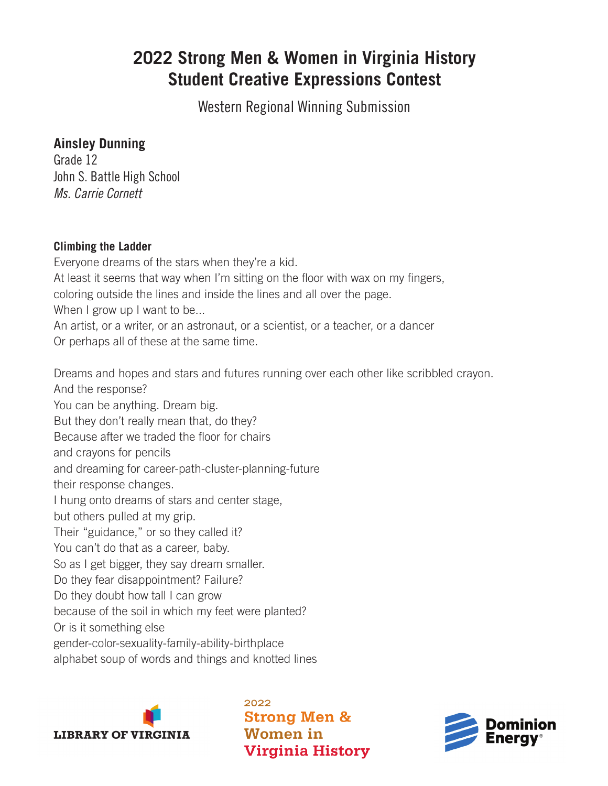## **2022 Strong Men & Women in Virginia History Student Creative Expressions Contest**

Western Regional Winning Submission

## **Ainsley Dunning**

Grade 12 John S. Battle High School *Ms. Carrie Cornett*

## **Climbing the Ladder**

Everyone dreams of the stars when they're a kid. At least it seems that way when I'm sitting on the floor with wax on my fingers, coloring outside the lines and inside the lines and all over the page. When I grow up I want to be... An artist, or a writer, or an astronaut, or a scientist, or a teacher, or a dancer

Or perhaps all of these at the same time.

Dreams and hopes and stars and futures running over each other like scribbled crayon. And the response? You can be anything. Dream big. But they don't really mean that, do they? Because after we traded the floor for chairs and crayons for pencils and dreaming for career-path-cluster-planning-future their response changes. I hung onto dreams of stars and center stage, but others pulled at my grip. Their "guidance," or so they called it? You can't do that as a career, baby. So as I get bigger, they say dream smaller. Do they fear disappointment? Failure? Do they doubt how tall I can grow because of the soil in which my feet were planted? Or is it something else gender-color-sexuality-family-ability-birthplace alphabet soup of words and things and knotted lines



2022 **Strong Men & Women** in **Virginia History**